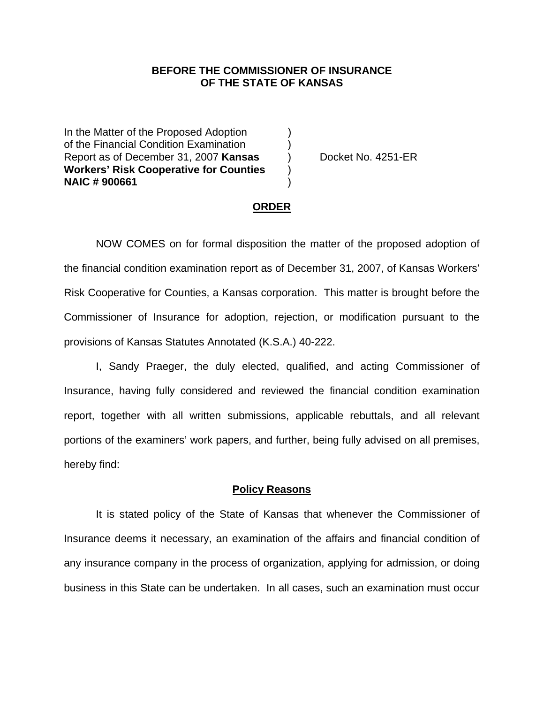## **BEFORE THE COMMISSIONER OF INSURANCE OF THE STATE OF KANSAS**

In the Matter of the Proposed Adoption of the Financial Condition Examination ) Report as of December 31, 2007 **Kansas** ) Docket No. 4251-ER **Workers' Risk Cooperative for Counties** ) **NAIC # 900661** )

#### **ORDER**

 NOW COMES on for formal disposition the matter of the proposed adoption of the financial condition examination report as of December 31, 2007, of Kansas Workers' Risk Cooperative for Counties, a Kansas corporation. This matter is brought before the Commissioner of Insurance for adoption, rejection, or modification pursuant to the provisions of Kansas Statutes Annotated (K.S.A.) 40-222.

 I, Sandy Praeger, the duly elected, qualified, and acting Commissioner of Insurance, having fully considered and reviewed the financial condition examination report, together with all written submissions, applicable rebuttals, and all relevant portions of the examiners' work papers, and further, being fully advised on all premises, hereby find:

#### **Policy Reasons**

 It is stated policy of the State of Kansas that whenever the Commissioner of Insurance deems it necessary, an examination of the affairs and financial condition of any insurance company in the process of organization, applying for admission, or doing business in this State can be undertaken. In all cases, such an examination must occur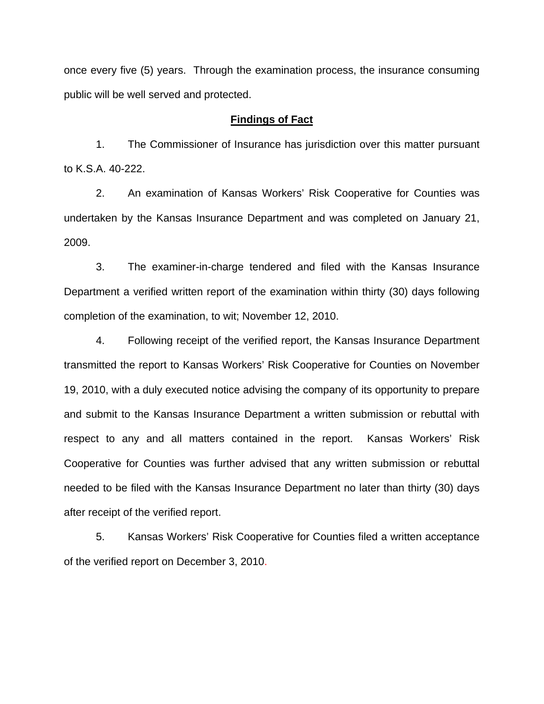once every five (5) years. Through the examination process, the insurance consuming public will be well served and protected.

### **Findings of Fact**

 1. The Commissioner of Insurance has jurisdiction over this matter pursuant to K.S.A. 40-222.

 2. An examination of Kansas Workers' Risk Cooperative for Counties was undertaken by the Kansas Insurance Department and was completed on January 21, 2009.

 3. The examiner-in-charge tendered and filed with the Kansas Insurance Department a verified written report of the examination within thirty (30) days following completion of the examination, to wit; November 12, 2010.

 4. Following receipt of the verified report, the Kansas Insurance Department transmitted the report to Kansas Workers' Risk Cooperative for Counties on November 19, 2010, with a duly executed notice advising the company of its opportunity to prepare and submit to the Kansas Insurance Department a written submission or rebuttal with respect to any and all matters contained in the report. Kansas Workers' Risk Cooperative for Counties was further advised that any written submission or rebuttal needed to be filed with the Kansas Insurance Department no later than thirty (30) days after receipt of the verified report.

 5. Kansas Workers' Risk Cooperative for Counties filed a written acceptance of the verified report on December 3, 2010.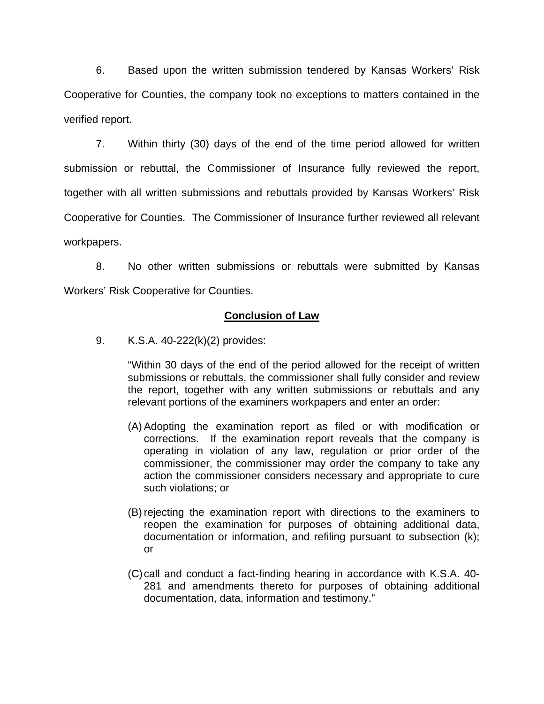6. Based upon the written submission tendered by Kansas Workers' Risk Cooperative for Counties, the company took no exceptions to matters contained in the verified report.

 7. Within thirty (30) days of the end of the time period allowed for written submission or rebuttal, the Commissioner of Insurance fully reviewed the report, together with all written submissions and rebuttals provided by Kansas Workers' Risk Cooperative for Counties. The Commissioner of Insurance further reviewed all relevant workpapers.

 8. No other written submissions or rebuttals were submitted by Kansas Workers' Risk Cooperative for Counties.

## **Conclusion of Law**

9. K.S.A. 40-222(k)(2) provides:

"Within 30 days of the end of the period allowed for the receipt of written submissions or rebuttals, the commissioner shall fully consider and review the report, together with any written submissions or rebuttals and any relevant portions of the examiners workpapers and enter an order:

- (A) Adopting the examination report as filed or with modification or corrections. If the examination report reveals that the company is operating in violation of any law, regulation or prior order of the commissioner, the commissioner may order the company to take any action the commissioner considers necessary and appropriate to cure such violations; or
- (B) rejecting the examination report with directions to the examiners to reopen the examination for purposes of obtaining additional data, documentation or information, and refiling pursuant to subsection (k); or
- (C) call and conduct a fact-finding hearing in accordance with K.S.A. 40- 281 and amendments thereto for purposes of obtaining additional documentation, data, information and testimony."